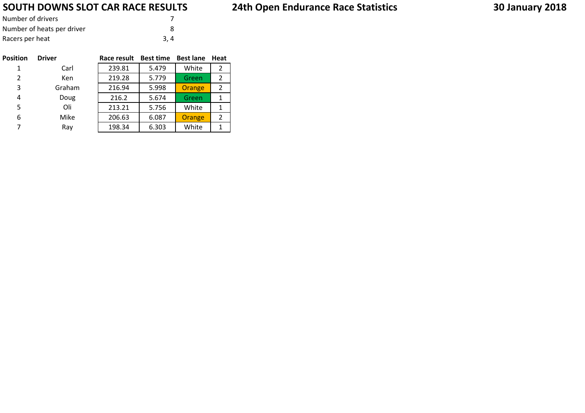## **SOUTH DOWNS SLOT CAR RACE RESULTS**

| Number of drivers          |     |
|----------------------------|-----|
| Number of heats per driver |     |
| Racers per heat            | 3.4 |

| <b>Position</b> | <b>Driver</b> | Race result | <b>Best time</b> | <b>Best lane</b> | Heat |
|-----------------|---------------|-------------|------------------|------------------|------|
| 1               | Carl          | 239.81      | 5.479            | White            | 2    |
| 2               | Ken           | 219.28      | 5.779            | Green            | 2    |
| 3               | Graham        | 216.94      | 5.998            | Orange           | 2    |
| 4               | Doug          | 216.2       | 5.674            | Green            | 1    |
| 5               | Oli           | 213.21      | 5.756            | White            | 1    |
| 6               | Mike          | 206.63      | 6.087            | Orange           | 2    |
| 7               | Ray           | 198.34      | 6.303            | White            |      |